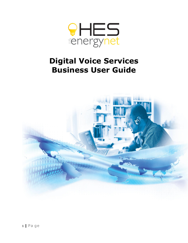

# **Digital Voice Services Business User Guide**

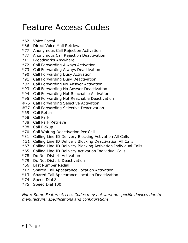# <span id="page-1-0"></span>Feature Access Codes

- \*62 Voice Portal
- \*86 Direct Voice Mail Retrieval
- \*77 Anonymous Call Rejection Activation
- \*87 Anonymous Call Rejection Deactivation
- \*11 Broadworks Anywhere
- \*72 Call Forwarding Always Activation
- \*73 Call Forwarding Always Deactivation
- \*90 Call Forwarding Busy Activation
- \*91 Call Forwarding Busy Deactivation
- \*92 Call Forwarding No Answer Activation
- \*93 Call Forwarding No Answer Deactivation
- \*94 Call Forwarding Not Reachable Activation
- \*95 Call Forwarding Not Reachable Deactivation
- #76 Call Forwarding Selective Activation
- #77 Call Forwarding Selective Deactivation
- \*69 Call Return
- \*68 Call Park
- \*88 Call Park Retrieve
- \*98 Call Pickup
- \*70 Call Waiting Deactivation Per Call
- \*31 Calling Line ID Delivery Blocking Activation All Calls
- #31 Calling Line ID Delivery Blocking Deactivation All Calls
- \*67 Calling Line ID Delivery Blocking Activation Individual Calls
- \*65 Calling Line ID Delivery Activation Individual Calls
- \*78 Do Not Disturb Activation
- \*79 Do Not Disturb Deactivation
- \*66 Last Number Redial
- \*12 Shared Call Appearance Location Activation
- \*13 Shared Call Appearance Location Deactivation
- \*74 Speed Dial 8
- \*75 Speed Dial 100

*Note: Some Feature Access Codes may not work on specific devices due to manufacturer specifications and configurations.*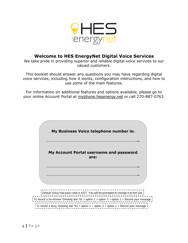

### **Welcome to HES EnergyNet Digital Voice Services**

We take pride in providing superior and reliable digital voice services to our valued customers.

This booklet should answer any questions you may have regarding digital voice services, including how it works, configuration instructions, and how to use some of the main features.

For information on additional features and options available, please go to your online Account Portal at [myphone.hesenergy.net](http://myphone.hesenergy.net/) or call 270-887-0763.

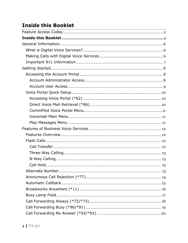# <span id="page-3-0"></span>**Inside this Booklet**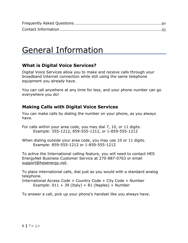<span id="page-5-0"></span>

# General Information

# <span id="page-5-1"></span>**What is Digital Voice Services?**

Digital Voice Services allow you to make and receive calls through your broadband Internet connection while still using the same telephone equipment you already have.

You can call anywhere at any time for less, and your phone number can go everywhere you do!

# <span id="page-5-2"></span>**Making Calls with Digital Voice Services**

You can make calls by dialing the number on your phone, as you always have.

For calls within your area code, you may dial 7, 10, or 11 digits. Example: 555-1212, 859-555-1212, or 1-859-555-1212

When dialing outside your area code, you may use 10 or 11 digits. Example: 859-555-1212 or 1-859-555-1212

To active the International calling feature, you will need to contact HES EnergyNet Business Customer Service at 270-887-0763 or email [support@hesenergy.net.](mailto:support@hesenergy.net)

To place international calls, dial just as you would with a standard analog telephone.

International Access Code + Country Code + City Code + Number Example:  $011 + 39$  (Italy) + 81 (Naples) + Number

To answer a call, pick up your phone's handset like you always have.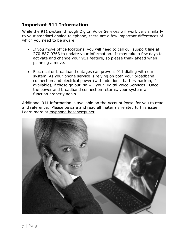## <span id="page-6-0"></span>**Important 911 Information**

While the 911 system through Digital Voice Services will work very similarly to your standard analog telephone, there are a few important differences of which you need to be aware.

- If you move office locations, you will need to call our support line at 270-887-0763 to update your information. It may take a few days to activate and change your 911 feature, so please think ahead when planning a move.
- Electrical or broadband outages can prevent 911 dialing with our system. As your phone service is relying on both your broadband connection and electrical power (with additional battery backup, if available), if these go out, so will your Digital Voice Services. Once the power and broadband connection returns, your system will function properly again.

Additional 911 information is available on the Account Portal for you to read and reference. Please be safe and read all materials related to this issue. Learn more at [myphone.hesenergy.net.](http://myphone.hesenergy.net/)

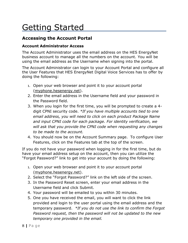# <span id="page-7-0"></span>Getting Started

## <span id="page-7-1"></span>**Accessing the Account Portal**

### <span id="page-7-2"></span>**Account Administrator Access**

The Account Administrator uses the email address on the HES EnergyNet business account to manage all the numbers on the account. You will be using the email address as the Username when signing into the portal.

The Account Administrator can login to your Account Portal and configure all the User Features that HES EnergyNet Digital Voice Services has to offer by doing the following:

- 1. Open your web browser and point it to your account portal [\(myphone.hesenergy.net\)](http://myphone.hesenergy.net/).
- 2. Enter the email address in the Username field and your password in the Password field.
- 3. When you login for the first time, you will be prompted to create a 4 digit CPNI security code. *\*If you have multiple accounts tied to one email address, you will need to click on each product Package Name and input CPNI code for each package. For identity verification, we will ask that you provide the CPNI code when requesting any changes to be made to the account.*
- 4. You should now be on the Account Summary page. To configure User Features, click on the Features tab at the top of the screen.

If you do not have your password when logging in for the first time, but do have your email address setup on the account, then you can utilize the "Forgot Password?" link to get into your account by doing the following:

- 1. Open your web browser and point it to your account portal [\(myphone.hesenergy.net\)](http://myphone.hesenergy.net/).
- 2. Select the "Forgot Password?" link on the left side of the screen.
- 3. In the Password Reset screen, enter your email address in the Username field and click Submit.
- 4. Your password will be emailed to you within 30 minutes.
- 5. One you have received the email, you will want to click the link provided and login to the user portal using the email address and the temporary password. *\*If you do not use the link to confirm the Forgot Password request, then the password will not be updated to the new temporary one provided in the email.*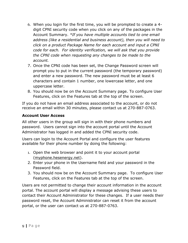- 6. When you login for the first time, you will be prompted to create a 4 digit CPNI security code when you click on any of the packages in the Account Summary. *\*If you have multiple accounts tied to one email address (like a residential and business account), then you will need to click on a product Package Name for each account and input a CPNI code for each. For identity verification, we will ask that you provide the CPNI code when requesting any changes to be made to the account.*
- 7. Once the CPNI code has been set, the Change Password screen will prompt you to put in the current password (the temporary password) and enter a new password. The new password must be at least 6 characters and contain 1 number, one lowercase letter, and one uppercase letter.
- 8. You should now be on the Account Summary page. To configure User Features, click on the Features tab at the top of the screen.

If you do not have an email address associated to the account, or do not receive an email within 30 minutes, please contact us at 270-887-0763.

### <span id="page-8-0"></span>**Account User Access**

All other users in the group will sign in with their phone numbers and password. Users cannot sign into the account portal until the Account Administrator has logged in and added the CPNI security code.

Users can login to the Account Portal and configure the user features available for their phone number by doing the following:

- 1. Open the web browser and point it to your account portal [\(myphone.hesenergy.net\)](http://myphone.hesenergy.net/).
- 2. Enter your phone in the Username field and your password in the Password field.
- 3. You should now be on the Account Summary page. To configure User Features, click on the Features tab at the top of the screen.

Users are not permitted to change their account information in the account portal. The account portal will display a message advising these users to contact their Account Administrator for these changes. If a user needs their password reset, the Account Administrator can reset it from the account portal, or the user can contact us at 270-887-0763.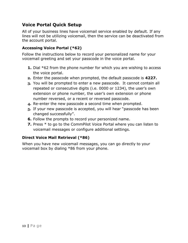## <span id="page-9-0"></span>**Voice Portal Quick Setup**

All of your business lines have voicemail service enabled by default. If any lines will not be utilizing voicemail, then the service can be deactivated from the account portal.

### <span id="page-9-1"></span>**Accessing Voice Portal (\*62)**

Follow the instructions below to record your personalized name for your voicemail greeting and set your passcode in the voice portal.

- **1.** Dial \*62 from the phone number for which you are wishing to access the voice portal.
- **2.** Enter the passcode when prompted, the default passcode is **4227.**
- **3.** You will be prompted to enter a new passcode. It cannot contain all repeated or consecutive digits (i.e. 0000 or 1234), the user's own extension or phone number, the user's own extension or phone number reversed, or a recent or reversed passcode.
- **4.** Re-enter the new passcode a second time when prompted.
- **5.** If your new passcode is accepted, you will hear "passcode has been changed successfully".
- **6.** Follow the prompts to record your personized name.
- **7.** Press \* to go to the CommPilot Voice Portal where you can listen to voicemail messages or configure additional settings.

### <span id="page-9-2"></span>**Direct Voice Mail Retrieval (\*86)**

When you have new voicemail messages, you can go directly to your voicemail box by dialing \*86 from your phone.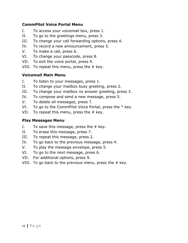#### <span id="page-10-0"></span>**CommPilot Voice Portal Menu**

- I. To access your voicemail box, press 1.
- II. To go to the greetings menu, press 3.
- III. To change your call forwarding options, press 4.
- IV. To record a new announcement, press 5.
- V. To make a call, press 6.
- VI. To change your passcode, press 8.
- VII. To exit the voice portal, press 9.
- VIII. To repeat this menu, press the  $#$  key.

#### <span id="page-10-1"></span>**Voicemail Main Menu**

- I. To listen to your messages, press 1.
- II. To change your mailbox busy greeting, press 2.
- III. To change your mailbox no answer greeting, press 3.
- IV. To compose and send a new message, press 5.
- V. To delete all messages, press 7.
- VI. To go to the CommPilot Voice Portal, press the  $*$  key.
- <span id="page-10-2"></span>VII. To repeat this menu, press the  $#$  key.

#### **Play Messages Menu**

- I. To save this message, press the  $#$  key.
- II. To erase this message, press 7.
- III. To repeat this message, press 2.
- IV. To go back to the previous message, press 4.
- V. To play the message envelope, press 5.
- VI. To go to the next message, press 6.
- VII. For additional options, press 9.
- VIII. To go back to the previous menu, press the  $#$  key.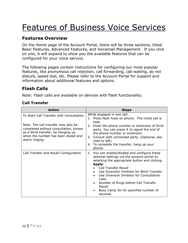# <span id="page-11-0"></span>Features of Business Voice Services

## <span id="page-11-1"></span>**Features Overview**

On the Home page of the Account Portal, there will be three sections, titled Basic Features, Advanced Features, and Voicemail Management. If you click on one, it will expand to show you the available features that can be configured for your voice service.

The following pages contain instructions for configuring our most popular features, like anonymous call rejection, call forwarding, call waiting, do not disturb, speed dial, etc. Please refer to the Account Portal for support and information about additional features and options.

## <span id="page-11-2"></span>**Flash Calls**

Note: Flash calls are available on devices with flash functionality.

### <span id="page-11-3"></span>**Call Transfer**

| <b>Action</b>                                                                                                                                                                                                            | <b>Steps</b>                                                                                                                                                                                                                                                                                                                                                                                   |
|--------------------------------------------------------------------------------------------------------------------------------------------------------------------------------------------------------------------------|------------------------------------------------------------------------------------------------------------------------------------------------------------------------------------------------------------------------------------------------------------------------------------------------------------------------------------------------------------------------------------------------|
| To Start Call Transfer with Consultation<br>Note: The call transfer may also be<br>completed without consultation, known<br>as a blind transfer, by hanging up<br>when the number has been dialed and<br>starts ringing. | While engaged in one call:<br>1. Press flash hook on phone. The initial call is<br>held.<br>2. Enter the phone number or extension of third<br>party. You can press # to signal the end of<br>the phone number or extension.<br>3. Consult with connected party. (Optional, see<br>note to left)<br>4. To complete the transfer, hang up your<br>phone.                                        |
| Call Transfer and Recall Configuration                                                                                                                                                                                   | 1. You can enable/disable and configure these<br>optional settings via the account portal by<br>selecting the appropriate button and clicking<br>Apply:<br><b>Call Transfer Recall</b><br>Use Diversion Inhibitor for Blind Transfer<br>Use Diversion Inhibitor for Consultative<br>Calls<br>Number of Rings before Call Transfer<br>Recall<br>Busy Camp On for specified number of<br>seconds |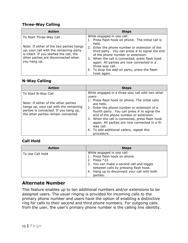#### <span id="page-12-0"></span>**Three-Way Calling**

| <b>Action</b>                                                                                                                                                                        | <b>Steps</b>                                                                                                                                                                                                                                                       |
|--------------------------------------------------------------------------------------------------------------------------------------------------------------------------------------|--------------------------------------------------------------------------------------------------------------------------------------------------------------------------------------------------------------------------------------------------------------------|
| To Start Three-Way Call                                                                                                                                                              | While engaged in one call:<br>1. Press flash hook on phone. The initial call is                                                                                                                                                                                    |
| Note: If either of the two parties hangs<br>up, your call with the remaining party<br>is intact. If you started the call, the<br>other parties are disconnected when<br>you hang up. | held.<br>2. Enter the phone number or extension of the<br>third party. You can press $#$ to signal the end<br>of the phone number or extension.<br>3. When the call is connected, press flash hook<br>again. All parties are now connected in a<br>three-way call. |
|                                                                                                                                                                                      | 4. To drop the add-on party, press the flash-<br>hook again.                                                                                                                                                                                                       |

#### <span id="page-12-1"></span>**N-Way Calling**

| <b>Action</b>                                                                                                                                                                         | <b>Steps</b>                                                                                                                                                                                                                                                                                                                                                                                                                     |
|---------------------------------------------------------------------------------------------------------------------------------------------------------------------------------------|----------------------------------------------------------------------------------------------------------------------------------------------------------------------------------------------------------------------------------------------------------------------------------------------------------------------------------------------------------------------------------------------------------------------------------|
| To Start N-Way Call<br>Note: If either of the other parties<br>hangs up, your call with the remaining<br>parties is connected. If you hang up,<br>the other parties remain connected. | While engaged in a three-way call with two other<br>users:<br>1. Press flash hook on phone. The initial calls<br>are held.<br>2. Enter the phone number or extension of a<br>fourth party. You can press $#$ to signal the<br>end of the phone number or extension.<br>3. When the call is connected, press flash hook<br>again. All parties are now connected in a N-<br>way call.<br>4. To add additional callers, repeat this |
|                                                                                                                                                                                       | procedure.                                                                                                                                                                                                                                                                                                                                                                                                                       |

#### <span id="page-12-2"></span>**Call Hold**

| <b>Action</b>    | <b>Steps</b>                                    |
|------------------|-------------------------------------------------|
| To Use Call Hold | While engaged in one call:                      |
|                  | 1. Press flash hook on phone.                   |
|                  | Press $*22$ .<br>2.                             |
|                  | 3. You can make a second call and toggle        |
|                  | between calls by pressing flash hook.           |
|                  | Hang up to disconnect your call with both<br>4. |
|                  | parties.                                        |

### <span id="page-12-3"></span>**Alternate Number**

This feature enables up to ten additional numbers and/or extensions to be assigned users. The usual ringing is provided for incoming calls to the primary phone number and users have the option of enabling a distinctive ring for calls to their second and third phone numbers. For outgoing calls from the user, the user's primary phone number is the calling line identity.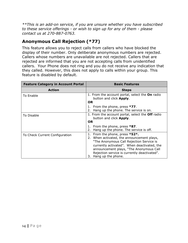*\*\*This is an add-on service, if you are unsure whether you have subscribed to these service offerings - or wish to sign up for any of them - please contact us at 270-887-0763.*

# <span id="page-13-0"></span>**Anonymous Call Rejection (\*77)**

This feature allows you to reject calls from callers who have blocked the display of their number. Only deliberate anonymous numbers are rejected. Callers whose numbers are unavailable are not rejected. Callers that are rejected are informed that you are not accepting calls from unidentified callers. Your Phone does not ring and you do not receive any indication that they called. However, this does not apply to calls within your group. This feature is disabled by default.

| <b>Feature Category in Account Portal</b> | <b>Basic Features</b>                                                                                                                                                                                                                                                                          |
|-------------------------------------------|------------------------------------------------------------------------------------------------------------------------------------------------------------------------------------------------------------------------------------------------------------------------------------------------|
| <b>Action</b>                             | <b>Steps</b>                                                                                                                                                                                                                                                                                   |
| To Enable                                 | 1. From the account portal, select the <b>On</b> radio<br>button and click Apply.<br>OR.                                                                                                                                                                                                       |
|                                           | 1. From the phone, press $*77$ .<br>Hang up the phone. The service is on.<br>2.                                                                                                                                                                                                                |
| To Disable                                | 1. From the account portal, select the Off radio<br>button and click <b>Apply</b> .<br>OR.                                                                                                                                                                                                     |
|                                           | 1. From the phone, press $*87$ .<br>Hang up the phone. The service is off.<br>2.                                                                                                                                                                                                               |
| To Check Current Configuration            | 1. From the phone, press *52*.<br>2. When activated, the announcement plays,<br>"The Anonymous Call Rejection Service is<br>currently activated". When deactivated, the<br>announcement plays, "The Anonymous Call<br>Rejection service is currently deactivated".<br>Hang up the phone.<br>3. |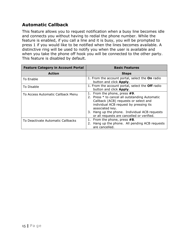# <span id="page-14-0"></span>**Automatic Callback**

This feature allows you to request notification when a busy line becomes idle and connects you without having to redial the phone number. While the feature is enabled, if you call a line and it is busy, you will be prompted to press 1 if you would like to be notified when the lines becomes available. A distinctive ring will be used to notify you when the user is available and when you take the phone off hook you will be connected to the other party. This feature is disabled by default.

| <b>Feature Category in Account Portal</b> | <b>Basic Features</b>                                                                                                                                                                                                                                                               |
|-------------------------------------------|-------------------------------------------------------------------------------------------------------------------------------------------------------------------------------------------------------------------------------------------------------------------------------------|
| <b>Action</b>                             | <b>Steps</b>                                                                                                                                                                                                                                                                        |
| To Enable                                 | 1. From the account portal, select the On radio<br>button and click Apply.                                                                                                                                                                                                          |
| To Disable                                | 1. From the account portal, select the Off radio<br>button and click Apply.                                                                                                                                                                                                         |
| To Access Automatic Callback Menu         | 1. From the phone, press #9.<br>2. Press * to cancel all outstanding Automatic<br>Callback (ACB) requests or select and<br>individual ACB request by pressing its<br>associated key.<br>3. Hang up the phone. Individual ACB requests<br>or all requests are cancelled or verified. |
| To Deactivate Automatic Callbacks         | 1. From the phone, press #8.<br>2. Hang up the phone. All pending ACB requests<br>are cancelled.                                                                                                                                                                                    |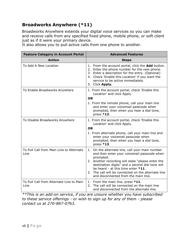# <span id="page-15-0"></span>**Broadworks Anywhere (\*11)**

Broadworks Anywhere extends your digital voice services so you can make and receive calls from any specified fixed phone, mobile phone, or soft client just as if it were your primary device.

It also allows you to pull active calls from one phone to another.

| <b>Feature Category in Account Portal</b>        | <b>Advanced Features</b>                                                                                                                                                                                                                                                                                                                                 |
|--------------------------------------------------|----------------------------------------------------------------------------------------------------------------------------------------------------------------------------------------------------------------------------------------------------------------------------------------------------------------------------------------------------------|
| <b>Action</b>                                    | <b>Steps</b>                                                                                                                                                                                                                                                                                                                                             |
| To Add A New Location                            | 1. From the account portal, click the <b>Add</b> button.<br>2. Enter the phone number for the new phone.<br>3. Enter a description for the entry. (Optional)<br>4. Check 'Enable this Location' if you want the<br>service to be active immediately.<br>5. Click Apply.                                                                                  |
| To Enable Broadworks Anywhere                    | 1. From the account portal, check 'Enable this<br>Location' and click Apply.                                                                                                                                                                                                                                                                             |
|                                                  | <b>OR</b>                                                                                                                                                                                                                                                                                                                                                |
|                                                  | 1. From the remote phone, call your main line<br>and enter your voicemail passcode when<br>prompted, then when you hear a dial tone,<br>press *12.                                                                                                                                                                                                       |
| To Disable Broadworks Anywhere                   | 1. From the account portal, check 'Enable this<br>Location' and click Apply.                                                                                                                                                                                                                                                                             |
|                                                  | <b>OR</b><br>1. From alternate phone, call your main line and<br>enter your voicemail passcode when<br>prompted, then when you hear a dial tone,<br>press *13.                                                                                                                                                                                           |
| To Pull Call from Main Line to Alternate<br>Line | 1. On the alternate line, call your main number<br>and then enter your voicemail passcode when<br>prompted.<br>2. Another recording will state "please enter the<br>destination digits" and a second dial tone will<br>be heard - at this time enter *11.<br>3. The call will be connected on the alternate line<br>and disconnected from the main line. |
| To Pull Call from Alternate Line to Main<br>Line | 1. From the main line, press *11.<br>The call will be connected on the main line<br>2.<br>and disconnected from the alternate line.                                                                                                                                                                                                                      |

*\*\*This is an add-on service, if you are unsure whether you have subscribed to these service offerings - or wish to sign up for any of them - please contact us at 270-887-0763.*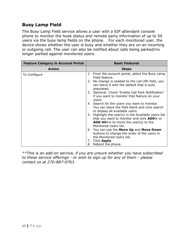## <span id="page-16-0"></span>**Busy Lamp Field**

The Busy Lamp Field service allows a user with a SIP attendant console phone to monitor the hook status and remote party information of up to 50 users via the busy lamp fields on the phone. For each monitored user, the device shows whether the user is busy and whether they are on an incoming or outgoing call. The user can also be notified about calls being parked/no longer parked against monitored users.

| <b>Feature Category in Account Portal</b> | <b>Basic Features</b>                                                                                                                                               |
|-------------------------------------------|---------------------------------------------------------------------------------------------------------------------------------------------------------------------|
| <b>Action</b>                             | <b>Steps</b>                                                                                                                                                        |
| To Configure                              | 1. From the account portal, select the Busy Lamp<br>Field feature.                                                                                                  |
|                                           | No change is needed to the List URI field, you<br>2.<br>can leave it with the default that is auto<br>populated.                                                    |
|                                           | 3. Optional: Check 'Enable Call Park Notification'<br>if you want to monitor that feature on your<br>users.                                                         |
|                                           | 4. Search for the users you want to monitor.<br>You can leave the field blank and click search<br>to display all available users.                                   |
|                                           | 5. Highlight the user(s) in the Available Users list<br>that you want to monitor and click ADD> or<br>ADD All>> to move the user(s) to the<br>Monitored Users list. |
|                                           | 6. You can use the Move Up and Move Down<br>buttons to change the order of the users in<br>the Monitored Users list.                                                |
|                                           | 7. Click Apply.<br>Reboot the phone.<br>8.                                                                                                                          |

*\*\*This is an add-on service, if you are unsure whether you have subscribed to these service offerings - or wish to sign up for any of them - please contact us at 270-887-0763.*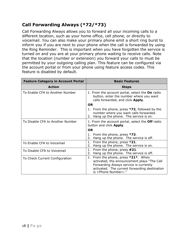# <span id="page-17-0"></span>**Call Forwarding Always (\*72/\*73)**

Call Forwarding Always allows you to forward all your incoming calls to a different location, such as your home office, cell phone, or directly to voicemail. You can also make your primary phone emit a short ring burst to inform you if you are next to your phone when the call is forwarded by using the Ring Reminder. This is important when you have forgotten the service is turned on and you are at your primary phone waiting to receive calls. Note that the location (number or extension) you forward your calls to must be permitted by your outgoing calling plan. This feature can be configured via the account portal or from your phone using feature access codes. This feature is disabled by default.

| <b>Feature Category in Account Portal</b> | <b>Basic Features</b>                                                                                                                                                                                           |
|-------------------------------------------|-----------------------------------------------------------------------------------------------------------------------------------------------------------------------------------------------------------------|
| <b>Action</b>                             | <b>Steps</b>                                                                                                                                                                                                    |
| To Enable CFA to Another Number           | 1. From the account portal, select the On radio<br>button, enter the number where you want<br>calls forwarded, and click Apply.                                                                                 |
|                                           | <b>OR</b>                                                                                                                                                                                                       |
|                                           | 1. From the phone, press *72, followed by the<br>number where you want calls forwarded.<br>Hang up the phone. The service is on.<br>2.                                                                          |
| To Disable CFA to Another Number          | 1. From the account portal, select the <b>Off</b> radio<br>button and click Apply.                                                                                                                              |
|                                           | <b>OR</b>                                                                                                                                                                                                       |
|                                           | From the phone, press *73.<br>1.<br>Hang up the phone. The service is off.<br>2.                                                                                                                                |
| To Enable CFA to Voicemail                | From the phone, press *21.<br>1.<br>Hang up the phone. The service is on.<br>2.                                                                                                                                 |
| To Disable CFA to Voicemail               | From the phone, press #21.<br>1.<br>Hang up the phone. The service is off.<br>2.                                                                                                                                |
| To Check Current Configuration            | 1. From the phone, press *21*. When<br>activated, the announcement plays "The Call<br>Forwarding Always service is currently<br>activated. The current forwarding destination<br>is <phone number="">."</phone> |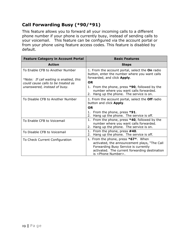# <span id="page-18-0"></span>**Call Forwarding Busy (\*90/\*91)**

This feature allows you to forward all your incoming calls to a different phone number if your phone is currently busy, instead of sending calls to your voicemail. This feature can be configured via the account portal or from your phone using feature access codes. This feature is disabled by default.

| <b>Feature Category in Account Portal</b>                                  | <b>Basic Features</b>                                                                                                                                                                                         |
|----------------------------------------------------------------------------|---------------------------------------------------------------------------------------------------------------------------------------------------------------------------------------------------------------|
| <b>Action</b>                                                              | <b>Steps</b>                                                                                                                                                                                                  |
| To Enable CFB to Another Number<br>*Note: If call waiting is enabled, this | 1. From the account portal, select the On radio<br>button, enter the number where you want calls<br>forwarded, and click Apply.<br><b>OR</b>                                                                  |
| could cause calls to be treated as<br>unanswered, instead of busy.         | 1. From the phone, press <b>*90</b> , followed by the<br>number where you want calls forwarded.<br>2. Hang up the phone. The service is on.                                                                   |
| To Disable CFB to Another Number                                           | 1. From the account portal, select the Off radio<br>button and click <b>Apply</b> .                                                                                                                           |
|                                                                            | <b>OR</b>                                                                                                                                                                                                     |
|                                                                            | 1. From the phone, press $*91$ .<br>Hang up the phone. The service is off.<br>2.                                                                                                                              |
| To Enable CFB to Voicemail                                                 | From the phone, press <b>*40</b> , followed by the<br>1.<br>number where you want calls forwarded.<br>Hang up the phone. The service is on.<br>2.                                                             |
| To Disable CFB to Voicemail                                                | 1.<br>From the phone, press #40.<br>Hang up the phone. The service is off.<br>2.                                                                                                                              |
| To Check Current Configuration                                             | 1. From the phone, press *67*. When<br>activated, the announcement plays, "The Call<br>Forwarding Busy Service is currently<br>activated. The current forwarding destination<br>is <phone number="">.</phone> |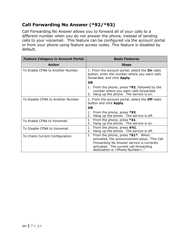# <span id="page-19-0"></span>**Call Forwarding No Answer (\*92/\*93)**

Call Forwarding No Answer allows you to forward all of your calls to a different number when you do not answer the phone, instead of sending calls to your voicemail. This feature can be configured via the account portal or from your phone using feature access codes. This feature is disabled by default.

| <b>Feature Category in Account Portal</b> | <b>Basic Features</b>                                                                                                                                                                                                         |
|-------------------------------------------|-------------------------------------------------------------------------------------------------------------------------------------------------------------------------------------------------------------------------------|
| <b>Action</b>                             | <b>Steps</b>                                                                                                                                                                                                                  |
| To Enable CFNA to Another Number          | 1. From the account portal, select the On radio<br>button, enter the number where you want calls<br>forwarded, and click Apply.                                                                                               |
|                                           | <b>OR</b>                                                                                                                                                                                                                     |
|                                           | 1. From the phone, press *92, followed by the<br>number where you want calls forwarded.<br>2. Hang up the phone. The service is on.                                                                                           |
| To Disable CFNA to Another Number         | 1. From the account portal, select the <b>Off</b> radio<br>button and click <b>Apply</b> .                                                                                                                                    |
|                                           | <b>OR</b>                                                                                                                                                                                                                     |
|                                           | 1. From the phone, press $*93$ .<br>Hang up the phone. The service is off.<br>2.                                                                                                                                              |
| To Enable CFNA to Voicemail               | From the phone, press $*41$ .<br>1.<br>Hang up the phone. The service is on.<br>2.                                                                                                                                            |
| To Disable CFNA to Voicemail              | 1.<br>From the phone, press #41.<br>Hang up the phone. The service is off.<br>2.                                                                                                                                              |
| To Check Current Configuration            | From the phone, press $*61*.$ When<br>1.<br>activated, the announcement plays, "The Call<br>Forwarding No Answer service is currently<br>activated. The current call forwarding<br>destination is <phone number="">."</phone> |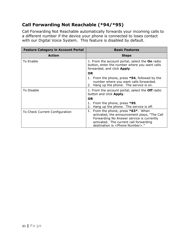# <span id="page-20-0"></span>**Call Forwarding Not Reachable (\*94/\*95)**

Call Forwarding Not Reachable automatically forwards your incoming calls to a different number if the device your phone is connected to loses contact with our Digital Voice System. This feature is disabled by default.

| <b>Feature Category in Account Portal</b> | <b>Basic Features</b>                                                                                                                                                                                                          |
|-------------------------------------------|--------------------------------------------------------------------------------------------------------------------------------------------------------------------------------------------------------------------------------|
| <b>Action</b>                             | <b>Steps</b>                                                                                                                                                                                                                   |
| To Enable                                 | 1. From the account portal, select the On radio<br>button, enter the number where you want calls<br>forwarded, and click Apply.                                                                                                |
|                                           | <b>OR</b>                                                                                                                                                                                                                      |
|                                           | 1. From the phone, press *94, followed by the<br>number where you want calls forwarded.<br>Hang up the phone. The service is on.<br>2.                                                                                         |
| To Disable                                | 1. From the account portal, select the <b>Off</b> radio<br>button and click <b>Apply</b> .                                                                                                                                     |
|                                           | <b>OR</b>                                                                                                                                                                                                                      |
|                                           | 1. From the phone, press *95.<br>Hang up the phone. The service is off.<br>2.                                                                                                                                                  |
| To Check Current Configuration            | From the phone, press $*63*$ . When<br>1.<br>activated, the announcement plays, "The Call<br>Forwarding No Answer service is currently<br>activated. The current call forwarding<br>destination is <phone number="">."</phone> |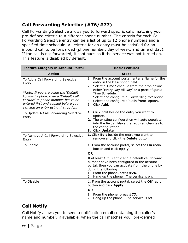# <span id="page-21-0"></span>**Call Forwarding Selective (#76/#77)**

Call Forwarding Selective allows you to forward specific calls matching your pre-defined criteria to a different phone number. The criteria for each Call Forwarding Selective entry can be a list of up to 12 phone numbers and a specified time schedule. All criteria for an entry must be satisfied for an inbound call to be forwarded (phone number, day of week, and time of day). If the call is not forwarded, it continues as if the service was not turned on. This feature is disabled by default.

| <b>Feature Category in Account Portal</b>                                                                                                                                                                                                         | <b>Basic Features</b>                                                                                                                                                                                                                                                                                                             |
|---------------------------------------------------------------------------------------------------------------------------------------------------------------------------------------------------------------------------------------------------|-----------------------------------------------------------------------------------------------------------------------------------------------------------------------------------------------------------------------------------------------------------------------------------------------------------------------------------|
| <b>Action</b>                                                                                                                                                                                                                                     | <b>Steps</b>                                                                                                                                                                                                                                                                                                                      |
| To Add a Call Forwarding Selective<br>Entry<br>*Note: If you are using the 'Default<br>Forward' option, then a 'Default Call<br>Forward to phone number' has to be<br>entered first and applied before you<br>can add an entry using that option. | 1. From the account portal, enter a Name for the<br>entry in the Description field.<br>2. Select a Time Schedule from the drop down:<br>either 'Every Day All Day' or a preconfigured<br>Time Schedule.<br>3. Select and configure a 'Forwarding to:' option.<br>4. Select and configure a 'Calls from:' option.<br>5. Click Add. |
| To Update A Call Forwarding Selective<br>Entry                                                                                                                                                                                                    | 1. Click Edit beside the entry you want to<br>update.<br>2. The existing configuration will auto populate<br>into the fields. Make the required changes to<br>the configuration.<br>3. Click Update.                                                                                                                              |
| To Remove A Call Forwarding Selective<br>Entry                                                                                                                                                                                                    | 1. Click Edit beside the entry you want to<br>remove and click the <b>Delete</b> button.                                                                                                                                                                                                                                          |
| <b>To Enable</b>                                                                                                                                                                                                                                  | 1. From the account portal, select the On radio<br>button and click Apply.                                                                                                                                                                                                                                                        |
|                                                                                                                                                                                                                                                   | <b>OR</b><br>If at least 1 CFS entry and a default call forward<br>number have been configured in the account<br>portal, then you can activate from the phone by<br>doing the following:<br>1. From the phone, press #76.<br>2. Hang up the phone. The service is on.                                                             |
| To Disable                                                                                                                                                                                                                                        | 1. From the account portal, select the <b>Off</b> radio<br>button and click Apply.                                                                                                                                                                                                                                                |
|                                                                                                                                                                                                                                                   | <b>OR</b>                                                                                                                                                                                                                                                                                                                         |
|                                                                                                                                                                                                                                                   | 1. From the phone, press #77.<br>2. Hang up the phone. The service is off.                                                                                                                                                                                                                                                        |

# <span id="page-21-1"></span>**Call Notify**

Call Notify allows you to send a notification email containing the caller's name and number, if available, when the call matches your pre-defined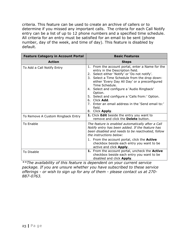criteria. This feature can be used to create an archive of callers or to determine if you missed any important calls. The criteria for each Call Notify entry can be a list of up to 12 phone numbers and a specified time schedule. All criteria for an entry must be satisfied for an email to be sent (phone number, day of the week, and time of day). This feature is disabled by default.

| <b>Feature Category in Account Portal</b> | <b>Basic Features</b>                                                                                                                                                                                                                                                                                                                                                                                                                                                      |
|-------------------------------------------|----------------------------------------------------------------------------------------------------------------------------------------------------------------------------------------------------------------------------------------------------------------------------------------------------------------------------------------------------------------------------------------------------------------------------------------------------------------------------|
| <b>Action</b>                             | <b>Steps</b>                                                                                                                                                                                                                                                                                                                                                                                                                                                               |
| To Add a Call Notify Entry                | 1. From the account portal, enter a Name for the<br>entry in the Description field.<br>2. Select either 'Notify' or 'Do not notify'.<br>3. Select a Time Schedule from the drop down:<br>either 'Every Day All Day' or a preconfigured<br>Time Schedule.<br>4. Select and configure a 'Audio Ringback'<br>Option.<br>5. Select and configure a 'Calls from:' Option.<br>6. Click Add.<br>7. Enter an email address in the 'Send email to:'<br>field.<br>Click Apply.<br>8. |
| To Remove A Custom Ringback Entry         | 1. Click Edit beside the entry you want to<br>remove and click the Delete button.                                                                                                                                                                                                                                                                                                                                                                                          |
| To Enable                                 | The feature is enabled automatically after a Call<br>Notify entry has been added. If the feature has<br>been disabled and needs to be reactivated, follow<br>the instructions below:<br>1. From the account portal, click the <b>Active</b>                                                                                                                                                                                                                                |
|                                           | checkbox beside each entry you want to be<br>active and click <b>Apply</b> .                                                                                                                                                                                                                                                                                                                                                                                               |
| To Disable                                | 1. From the account portal, uncheck the Active<br>checkbox beside each entry you want to be<br>disabled and click Apply.                                                                                                                                                                                                                                                                                                                                                   |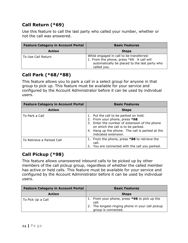# <span id="page-23-0"></span>**Call Return (\*69)**

Use this feature to call the last party who called your number, whether or not the call was answered.

| <b>Feature Category in Account Portal</b> | <b>Basic Features</b>                                                                                                                                 |
|-------------------------------------------|-------------------------------------------------------------------------------------------------------------------------------------------------------|
| <b>Action</b>                             | <b>Steps</b>                                                                                                                                          |
| To Use Call Return                        | While engaged in call to be transferred:<br>1. From the phone, press *69. A call will<br>automatically be placed to the last party who<br>called you. |

## <span id="page-23-1"></span>**Call Park (\*68/\*88)**

This feature allows you to park a call in a select group for anyone in that group to pick up. This feature must be available for your service and configured by the Account Administrator before it can be used by individual users.

| <b>Feature Category in Account Portal</b> | <b>Basic Features</b>                                                                                                                                                                                                                     |
|-------------------------------------------|-------------------------------------------------------------------------------------------------------------------------------------------------------------------------------------------------------------------------------------------|
| <b>Action</b>                             | <b>Steps</b>                                                                                                                                                                                                                              |
| To Park a Call                            | 1. Put the call to be parked on hold.<br>2. From your phone, press *68.<br>3. Enter the number of extension of the phone<br>on which the call is to be parked.<br>4. Hang up the phone. The call is parked at the<br>indicated extension. |
| To Retrieve a Parked Call                 | 1. From the phone, press *88 to retrieve the<br>call.<br>You are connected with the call you parked.                                                                                                                                      |

## <span id="page-23-2"></span>**Call Pickup (\*98)**

This feature allows unanswered inbound calls to be picked up by other members of the call pickup group, regardless of whether the called member has active or held calls. This feature must be available for your service and configured by the Account Administrator before it can be used by individual users.

| <b>Feature Category in Account Portal</b> | <b>Basic Features</b>                                                                                                            |
|-------------------------------------------|----------------------------------------------------------------------------------------------------------------------------------|
| <b>Action</b>                             | <b>Steps</b>                                                                                                                     |
| To Pick Up a Call                         | 1. From your phone, press *98 to pick up the<br>call.<br>2. The longest-ringing phone in your call pickup<br>group is connected. |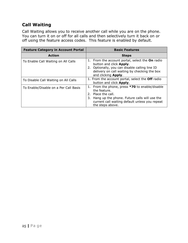# <span id="page-24-0"></span>**Call Waiting**

Call Waiting allows you to receive another call while you are on the phone. You can turn it on or off for all calls and then selectively turn it back on or off using the feature access codes. This feature is enabled by default.

| <b>Feature Category in Account Portal</b> | <b>Basic Features</b>                                                                                                                                                                                            |
|-------------------------------------------|------------------------------------------------------------------------------------------------------------------------------------------------------------------------------------------------------------------|
| <b>Action</b>                             | <b>Steps</b>                                                                                                                                                                                                     |
| To Enable Call Waiting on All Calls       | From the account portal, select the On radio<br>1.<br>button and click Apply.<br>2. Optionally, you can disable calling line ID<br>delivery on call waiting by checking the box<br>and clicking Apply.           |
| To Disable Call Waiting on All Calls      | 1. From the account portal, select the Off radio<br>button and click <b>Apply</b> .                                                                                                                              |
| To Enable/Disable on a Per Call Basis     | 1. From the phone, press *70 to enable/disable<br>the feature.<br>2. Place the call.<br>Hang up the phone. Future calls will use the<br>3.<br>current call waiting default unless you repeat<br>the steps above. |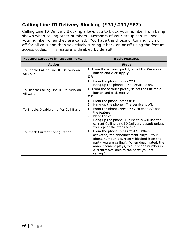# <span id="page-25-0"></span>**Calling Line ID Delivery Blocking (\*31/#31/\*67)**

Calling Line ID Delivery Blocking allows you to block your number from being shown when calling other numbers. Members of your group can still see your number when they are called. You have the choice of turning it on or off for all calls and then selectively turning it back on or off using the feature access codes. This feature is disabled by default.

| <b>Feature Category in Account Portal</b>           | <b>Basic Features</b>                                                                                                                                                                                                                                                                   |
|-----------------------------------------------------|-----------------------------------------------------------------------------------------------------------------------------------------------------------------------------------------------------------------------------------------------------------------------------------------|
| <b>Action</b>                                       | <b>Steps</b>                                                                                                                                                                                                                                                                            |
| To Enable Calling Line ID Delivery on<br>All Calls  | 1. From the account portal, select the On radio<br>button and click Apply.<br><b>OR</b>                                                                                                                                                                                                 |
|                                                     | 1. From the phone, press *31.<br>Hang up the phone. The service is on.<br>2.                                                                                                                                                                                                            |
| To Disable Calling Line ID Delivery on<br>All Calls | 1. From the account portal, select the Off radio<br>button and click <b>Apply</b> .<br><b>OR</b>                                                                                                                                                                                        |
|                                                     | 1. From the phone, press #31.<br>Hang up the phone. The service is off.<br>2.                                                                                                                                                                                                           |
| To Enable/Disable on a Per Call Basis               | 1. From the phone, press $*67$ to enable/disable<br>the feature.<br>2. Place the call.<br>Hang up the phone. Future calls will use the<br>current Calling Line ID Delivery default unless<br>you repeat the steps above.                                                                |
| To Check Current Configuration                      | From the phone, press *54*. When<br>1.<br>activated, the announcement plays, "Your<br>phone number is currently blocked from the<br>party you are calling". When deactivated, the<br>announcement plays, "Your phone number is<br>currently available to the party you are<br>calling." |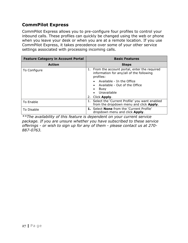## <span id="page-26-0"></span>**CommPilot Express**

CommPilot Express allows you to pre-configure four profiles to control your inbound calls. These profiles can quickly be changed using the web or phone when you leave your desk or when you are at a remote location. If you use CommPilot Express, it takes precedence over some of your other service settings associated with processing incoming calls.

| <b>Feature Category in Account Portal</b> | <b>Basic Features</b>                                                                                                                                                                          |
|-------------------------------------------|------------------------------------------------------------------------------------------------------------------------------------------------------------------------------------------------|
| <b>Action</b>                             | <b>Steps</b>                                                                                                                                                                                   |
| To Configure                              | 1. From the account portal, enter the required<br>information for any/all of the following<br>profiles:<br>• Available - In the Office<br>• Available - Out of the Office<br>Busy<br>$\bullet$ |
|                                           | Unavailable                                                                                                                                                                                    |
|                                           | Click <b>Apply.</b><br>2.                                                                                                                                                                      |
| To Enable                                 | 1. Select the 'Current Profile' you want enabled<br>from the dropdown menu and click Apply.                                                                                                    |
| To Disable                                | <b>1.</b> Select <b>None</b> from the 'Current Profile'<br>dropdown menu and click Apply.                                                                                                      |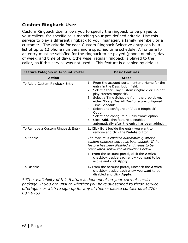## <span id="page-27-0"></span>**Custom Ringback User**

Custom Ringback User allows you to specify the ringback to be played to your callers, for specific calls matching your pre-defined criteria. Use this service to play a different ringback to your manager, a family member, or a customer. The criteria for each Custom Ringback Selective entry can be a list of up to 12 phone numbers and a specified time schedule. All criteria for an entry must be satisfied for the ringback to be played (phone number, day of week, and time of day). Otherwise, regular ringback is played to the caller, as if this service was not used. This feature is disabled by default.

| <b>Feature Category in Account Portal</b>                           | <b>Basic Features</b>                                                                                                                                                                                                                                                                                                                                                                                                                                                                                                                        |
|---------------------------------------------------------------------|----------------------------------------------------------------------------------------------------------------------------------------------------------------------------------------------------------------------------------------------------------------------------------------------------------------------------------------------------------------------------------------------------------------------------------------------------------------------------------------------------------------------------------------------|
| <b>Action</b>                                                       | <b>Steps</b>                                                                                                                                                                                                                                                                                                                                                                                                                                                                                                                                 |
| To Add a Custom Ringback Entry<br>To Remove a Custom Ringback Entry | 1. From the account portal, enter a Name for the<br>entry in the Description field.<br>2. Select either 'Play custom ringback' or 'Do not<br>play custom ringback'.<br>3. Select a Time Schedule from the drop down,<br>either 'Every Day All Day' or a preconfigured<br>Time Schedule.<br>4. Select and configure an 'Audio Ringback'<br>Option.<br>5. Select and configure a 'Calls from:' option.<br>6. Click Add. This feature is enabled<br>automatically after the entry has been added.<br>1. Click Edit beside the entry you want to |
|                                                                     | remove and click the <b>Delete</b> button.                                                                                                                                                                                                                                                                                                                                                                                                                                                                                                   |
| To Enable                                                           | The feature is enabled automatically after a<br>custom ringback entry has been added. If the<br>feature has been disabled and needs to be<br>reactivated, follow the instructions below:<br>1. From the account portal, click the <b>Active</b><br>checkbox beside each entry you want to be<br>active and click <b>Apply</b> .                                                                                                                                                                                                              |
| To Disable                                                          | 1. From the account portal, uncheck the Active<br>checkbox beside each entry you want to be<br>disabled and click Apply.                                                                                                                                                                                                                                                                                                                                                                                                                     |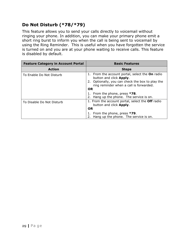# <span id="page-28-0"></span>**Do Not Disturb (\*78/\*79)**

This feature allows you to send your calls directly to voicemail without ringing your phone. In addition, you can make your primary phone emit a short ring burst to inform you when the call is being sent to voicemail by using the Ring Reminder. This is useful when you have forgotten the service is turned on and you are at your phone waiting to receive calls. This feature is disabled by default.

| <b>Feature Category in Account Portal</b> | <b>Basic Features</b>                                                                                                                                                                  |
|-------------------------------------------|----------------------------------------------------------------------------------------------------------------------------------------------------------------------------------------|
| <b>Action</b>                             | <b>Steps</b>                                                                                                                                                                           |
| To Enable Do Not Disturb                  | 1. From the account portal, select the On radio<br>button and click Apply.<br>2. Optionally, you can check the box to play the<br>ring reminder when a call is forwarded.<br><b>OR</b> |
|                                           | 1. From the phone, press *78.<br>Hang up the phone. The service is on.                                                                                                                 |
| To Disable Do Not Disturb                 | 1. From the account portal, select the <b>Off</b> radio<br>button and click <b>Apply</b> .<br><b>OR</b>                                                                                |
|                                           | From the phone, press *79.<br>1.<br>2. Hang up the phone. The service is on.                                                                                                           |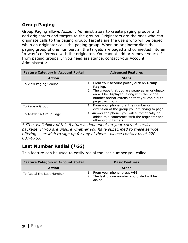# <span id="page-29-0"></span>**Group Paging**

Group Paging allows Account Administrators to create paging groups and add originators and targets to the groups. Originators are the ones who can originate calls to the paging group. Targets are the users who will be paged when an originator calls the paging group. When an originator dials the paging group phone number, all the targets are paged and connected into an "n-way" conference with the originator. You cannot add or remove yourself from paging groups. If you need assistance, contact your Account Administrator.

| <b>Feature Category in Account Portal</b> | <b>Advanced Features</b>                                                                                                                                                                                                  |
|-------------------------------------------|---------------------------------------------------------------------------------------------------------------------------------------------------------------------------------------------------------------------------|
| <b>Action</b>                             | <b>Steps</b>                                                                                                                                                                                                              |
| To View Paging Groups                     | From your account portal, click on Group<br>Paging.<br>2. The groups that you are setup as an originator<br>on will be displayed, along with the phone<br>number and/or extension that you can dial to<br>page the group. |
| To Page a Group                           | 1. From your phone, dial the number or<br>extension of the group you are trying to page.                                                                                                                                  |
| To Answer a Group Page                    | 1. Answer the phone, you will automatically be<br>added to a conference with the originator and<br>other group targets.                                                                                                   |

*\*\*The availability of this feature is dependent on your current service package. If you are unsure whether you have subscribed to these service offerings - or wish to sign up for any of them - please contact us at 270- 887-0763.*

# <span id="page-29-1"></span>**Last Number Redial (\*66)**

This feature can be used to easily redial the last number you called.

| <b>Feature Category in Account Portal</b> | <b>Basic Features</b>                                                                    |
|-------------------------------------------|------------------------------------------------------------------------------------------|
| <b>Action</b>                             | <b>Steps</b>                                                                             |
| To Redial the Last Number                 | 1. From your phone, press *66.<br>2. The last phone number you dialed will be<br>dialed. |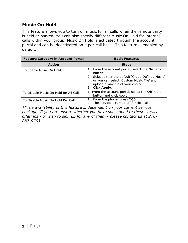# <span id="page-30-0"></span>**Music On Hold**

This feature allows you to turn on music for all calls when the remote party is held or parked. You can also specify different Music On Hold for internal calls within your group. Music On Hold is activated through the account portal and can be deactivated on a per-call basis. This feature is enabled by default.

| <b>Feature Category in Account Portal</b> | <b>Basic Features</b>                                                                                                                                                                                                    |
|-------------------------------------------|--------------------------------------------------------------------------------------------------------------------------------------------------------------------------------------------------------------------------|
| <b>Action</b>                             | <b>Steps</b>                                                                                                                                                                                                             |
| To Enable Music On Hold                   | 1. From the account portal, select the On radio<br>button.<br>2. Select either the default 'Group Defined Music'<br>or you can select 'Custom Music File' and<br>upload a wav file of your choice.<br>Click Apply.<br>3. |
| To Disable Music On Hold for All Calls    | 1. From the account portal, select the <b>Off</b> radio<br>button and click Apply.                                                                                                                                       |
| To Disable Music On Hold Per Call         | From the phone, press *60.<br>1.<br>2. The service is turned off for this call.                                                                                                                                          |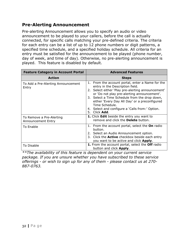## <span id="page-31-0"></span>**Pre-Alerting Announcement**

Pre-alerting Announcement allows you to specify an audio or video announcement to be played to your callers, before the call is actually connected, for specific calls matching your pre-defined criteria. The criteria for each entry can be a list of up to 12 phone numbers or digit patterns, a specified time schedule, and a specified holiday schedule. All criteria for an entry must be satisfied for the announcement to be played (phone number, day of week, and time of day). Otherwise, no pre-alerting announcement is played. This feature is disabled by default.

| <b>Feature Category in Account Portal</b>      | <b>Advanced Features</b>                                                                                                                                                                                                                                                                                                                                                                    |
|------------------------------------------------|---------------------------------------------------------------------------------------------------------------------------------------------------------------------------------------------------------------------------------------------------------------------------------------------------------------------------------------------------------------------------------------------|
| <b>Action</b>                                  | <b>Steps</b>                                                                                                                                                                                                                                                                                                                                                                                |
| To Add a Pre-Alerting Announcement<br>Entry    | From the account portal, enter a Name for the<br>1.<br>entry in the Description field.<br>Select either 'Play pre-alerting announcement'<br>2.<br>or 'Do not play pre-alerting announcement'.<br>3. Select a Time Schedule from the drop down,<br>either 'Every Day All Day' or a preconfigured<br>Time Schedule.<br>Select and configure a 'Calls from:' Option.<br>4.<br>Click Add.<br>5. |
| To Remove a Pre-Alerting<br>Announcement Entry | 1. Click Edit beside the entry you want to<br>remove and click the <b>Delete</b> button.                                                                                                                                                                                                                                                                                                    |
| To Enable                                      | 1. From the account portal, select the <b>On</b> radio<br>button.<br>Select an Audio Announcement option.<br>2.<br>3. Click the <b>Active</b> checkbox beside each entry<br>you want to be active and click <b>Apply</b> .                                                                                                                                                                  |
| To Disable                                     | 1. From the account portal, select the Off radio<br>button and click <b>Apply</b> .                                                                                                                                                                                                                                                                                                         |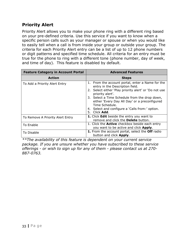## <span id="page-32-0"></span>**Priority Alert**

Priority Alert allows you to make your phone ring with a different ring based on your pre-defined criteria. Use this service if you want to know when a specific person calls such as your manager or spouse or when you would like to easily tell when a call is from inside your group or outside your group. The criteria for each Priority Alert entry can be a list of up to 12 phone numbers or digit patterns and specified time schedule. All criteria for an entry must be true for the phone to ring with a different tone (phone number, day of week, and time of day). This feature is disabled by default.

| <b>Feature Category in Account Portal</b> | <b>Advanced Features</b>                                                                                                                                                                                                                                                                                                                                           |
|-------------------------------------------|--------------------------------------------------------------------------------------------------------------------------------------------------------------------------------------------------------------------------------------------------------------------------------------------------------------------------------------------------------------------|
| <b>Action</b>                             | <b>Steps</b>                                                                                                                                                                                                                                                                                                                                                       |
| To Add a Priority Alert Entry             | 1. From the account portal, enter a Name for the<br>entry in the Description field.<br>2. Select either 'Play priority alert' or 'Do not use<br>priority alert'.<br>3. Select a Time Schedule from the drop down,<br>either 'Every Day All Day' or a preconfigured<br>Time Schedule.<br>4. Select and configure a 'Calls from:' option.<br>Click <b>Add.</b><br>5. |
| To Remove A Priority Alert Entry          | 1. Click Edit beside the entry you want to<br>remove and click the <b>Delete</b> button.                                                                                                                                                                                                                                                                           |
| To Enable                                 | 1. Click the <b>Active</b> checkbox beside each entry<br>you want to be active and click Apply.                                                                                                                                                                                                                                                                    |
| To Disable                                | 1. From the account portal, select the Off radio<br>button and click Apply.                                                                                                                                                                                                                                                                                        |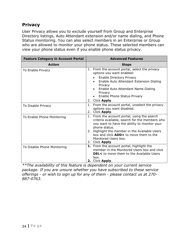## <span id="page-33-0"></span>**Privacy**

User Privacy allows you to exclude yourself from Group and Enterprise Directory listings, Auto Attendant extension and/or name dialing, and Phone Status monitoring. You can also select members in an Enterprise or Group who are allowed to monitor your phone status. These selected members can view your phone status even if you enable phone status privacy.

| <b>Feature Category in Account Portal</b> | <b>Advanced Features</b>                                                                                                                                        |
|-------------------------------------------|-----------------------------------------------------------------------------------------------------------------------------------------------------------------|
| <b>Action</b>                             | <b>Steps</b>                                                                                                                                                    |
| To Enable Privacy                         | From the account portal, select the privacy<br>1.<br>options you want enabled:                                                                                  |
|                                           | <b>Enable Directory Privacy</b><br>Enable Auto Attendant Extension Dialing                                                                                      |
|                                           | Privacy<br>Enable Auto Attendant Name Dialing<br>Privacy                                                                                                        |
|                                           | Enable Phone Status Privacy                                                                                                                                     |
|                                           | 2. Click Apply.                                                                                                                                                 |
| To Disable Privacy                        | 1. From the account portal, unselect the privacy<br>options you want disabled.<br>2. Click Apply.                                                               |
| To Enable Phone Monitoring                | 1. From the account portal, using the search<br>criteria available, search for the members who<br>you want to have the ability to monitor your<br>phone status. |
|                                           | Highlight the member in the Available Users<br>2.<br>box and click <b>ADD&gt;</b> to move them to the<br>Monitored Users box.                                   |
|                                           | 3. Click Apply.                                                                                                                                                 |
| To Disable Phone Monitoring               | 1. From the account portal, highlight the<br>member in the Monitored Users box and click                                                                        |
|                                           | <b>DEL&lt;</b> to move them to the Available Users<br>box.                                                                                                      |
|                                           | 2. Click Apply.                                                                                                                                                 |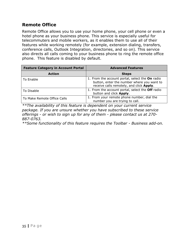## <span id="page-34-0"></span>**Remote Office**

Remote Office allows you to use your home phone, your cell phone or even a hotel phone as your business phone. This service is especially useful for telecommuters and mobile workers, as it enables them to use all of their features while working remotely (for example, extension dialing, transfers, conference calls, Outlook Integration, directories, and so on). This service also directs all calls coming to your business phone to ring the remote office phone. This feature is disabled by default.

| <b>Feature Category in Account Portal</b> | <b>Advanced Features</b>                                                                                                                  |
|-------------------------------------------|-------------------------------------------------------------------------------------------------------------------------------------------|
| <b>Action</b>                             | <b>Steps</b>                                                                                                                              |
| To Enable                                 | 1. From the account portal, select the On radio<br>button, enter the number where you want to<br>receive calls remotely, and click Apply. |
| To Disable                                | 1. From the account portal, select the Off radio<br>button and click Apply.                                                               |
| To Make Remote Office Calls               | 1. From your remote phone number, dial the<br>number you are trying to call.                                                              |

*\*\*The availability of this feature is dependent on your current service package. If you are unsure whether you have subscribed to these service offerings - or wish to sign up for any of them - please contact us at 270- 887-0763.*

*\*\*Some functionality of this feature requires the Toolbar - Business add-on.*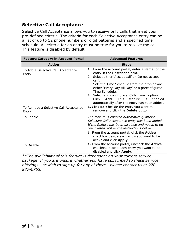## <span id="page-35-0"></span>**Selective Call Acceptance**

Selective Call Acceptance allows you to receive only calls that meet your pre-defined criteria. The criteria for each Selective Acceptance entry can be a list of up to 12 phone numbers or digit patterns and a specified time schedule. All criteria for an entry must be true for you to receive the call. This feature is disabled by default.

| <b>Feature Category in Account Portal</b>      | <b>Advanced Features</b>                                                                                                                                                                                                                                                                                                                                                                                                                 |
|------------------------------------------------|------------------------------------------------------------------------------------------------------------------------------------------------------------------------------------------------------------------------------------------------------------------------------------------------------------------------------------------------------------------------------------------------------------------------------------------|
| <b>Action</b>                                  | <b>Steps</b>                                                                                                                                                                                                                                                                                                                                                                                                                             |
| To Add a Selective Call Acceptance<br>Entry    | 1. From the account portal, enter a Name for the<br>entry in the Description field.<br>2. Select either 'Accept call' or 'Do not accept<br>call'.<br>3. Select a Time Schedule from the drop down:<br>either 'Every Day All Day' or a preconfigured<br>Time Schedule.<br>4. Select and configure a 'Calls from:' option.<br>5. Click <b>Add</b> . This feature<br>enabled<br>$-$ is $-$<br>automatically after the entry has been added. |
| To Remove a Selective Call Acceptance<br>Entry | 1. Click Edit beside the entry you want to<br>remove and click the <b>Delete</b> button.                                                                                                                                                                                                                                                                                                                                                 |
| To Enable                                      | The feature is enabled automatically after a<br>Selective Call Acceptance entry has been added.<br>If the feature has been disabled and needs to be<br>reactivated, follow the instructions below:<br>1. From the account portal, click the <b>Active</b><br>checkbox beside each entry you want to be<br>active and click <b>Apply</b> .                                                                                                |
| To Disable                                     | 1. From the account portal, uncheck the Active<br>checkbox beside each entry you want to be<br>disabled and click Apply.                                                                                                                                                                                                                                                                                                                 |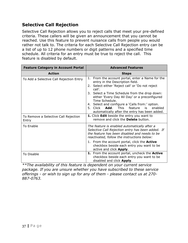# <span id="page-36-0"></span>**Selective Call Rejection**

Selective Call Rejection allows you to reject calls that meet your pre-defined criteria. These callers will be given an announcement that you cannot be reached. Use this feature to prevent nuisance calls from people you would rather not talk to. The criteria for each Selective Call Rejection entry can be a list of up to 12 phone numbers or digit patterns and a specified time schedule. All criteria for an entry must be true to reject the call. This feature is disabled by default.

| <b>Feature Category in Account Portal</b>     | <b>Advanced Features</b>                                                                                                                                                                                                                                                                                                                                                                                                                       |
|-----------------------------------------------|------------------------------------------------------------------------------------------------------------------------------------------------------------------------------------------------------------------------------------------------------------------------------------------------------------------------------------------------------------------------------------------------------------------------------------------------|
| <b>Action</b>                                 | <b>Steps</b>                                                                                                                                                                                                                                                                                                                                                                                                                                   |
| To Add a Selective Call Rejection Entry       | From the account portal, enter a Name for the<br>1.<br>entry in the Description field.<br>2. Select either 'Reject call' or 'Do not reject<br>call'.<br>3. Select a Time Schedule from the drop down:<br>either 'Every Day All Day' or a preconfigured<br>Time Schedule.<br>4. Select and configure a 'Calls from:' option.<br>5. Click <b>Add</b> .<br>This feature<br>$-$ is $-$<br>enabled<br>automatically after the entry has been added. |
| To Remove a Selective Call Rejection<br>Entry | 1. Click Edit beside the entry you want to<br>remove and click the <b>Delete</b> button.                                                                                                                                                                                                                                                                                                                                                       |
| <b>To Enable</b>                              | The feature is enabled automatically after a<br>Selective Call Rejection entry has been added. If<br>the feature has been disabled and needs to be<br>reactivated, follow the instructions below:<br>1. From the account portal, click the <b>Active</b>                                                                                                                                                                                       |
|                                               | checkbox beside each entry you want to be<br>active and click Apply.                                                                                                                                                                                                                                                                                                                                                                           |
| To Disable                                    | 1. From the account portal, uncheck the Active<br>checkbox beside each entry you want to be<br>disabled and click Apply.                                                                                                                                                                                                                                                                                                                       |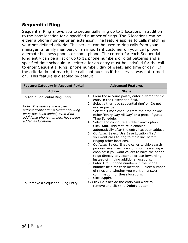# <span id="page-37-0"></span>**Sequential Ring**

Sequential Ring allows you to sequentially ring up to 5 locations in addition to the base location for a specified number of rings. The 5 locations can be either a phone number or an extension. The feature applies to calls matching your pre-defined criteria. This service can be used to ring calls from your manager, a family member, or an important customer on your cell phone, alternate business phone, or home phone. The criteria for each Sequential Ring entry can be a list of up to 12 phone numbers or digit patterns and a specified time schedule. All criteria for an entry must be satisfied for the call to enter Sequential Ring (phone number, day of week, and time of day). If the criteria do not match, the call continues as if this service was not turned on. This feature is disabled by default.

| <b>Feature Category in Account Portal</b>                                                                                                                                                                | <b>Advanced Features</b>                                                                                                                                                                                                                                                                                                                                                                                                                                                                                                                                                                                                                                                                                                                                                                                                                                                                                                                                                                                                     |
|----------------------------------------------------------------------------------------------------------------------------------------------------------------------------------------------------------|------------------------------------------------------------------------------------------------------------------------------------------------------------------------------------------------------------------------------------------------------------------------------------------------------------------------------------------------------------------------------------------------------------------------------------------------------------------------------------------------------------------------------------------------------------------------------------------------------------------------------------------------------------------------------------------------------------------------------------------------------------------------------------------------------------------------------------------------------------------------------------------------------------------------------------------------------------------------------------------------------------------------------|
| <b>Action</b>                                                                                                                                                                                            | <b>Steps</b>                                                                                                                                                                                                                                                                                                                                                                                                                                                                                                                                                                                                                                                                                                                                                                                                                                                                                                                                                                                                                 |
| To Add a Sequential Ring Entry<br>Note: The feature is enabled<br>automatically after a Sequential Ring<br>entry has been added, even if no<br>additional phone numbers have been<br>added as locations. | 1. From the account portal, enter a Name for the<br>entry in the Description field.<br>2. Select either 'Use sequential ring' or 'Do not<br>use sequential ring'.<br>3. Select a Time Schedule from the drop down:<br>either 'Every Day All Day' or a preconfigured<br>Time Schedule.<br>4. Select and configure a 'Calls from:' option.<br>Click Add. This feature is enabled<br>5.<br>automatically after the entry has been added.<br>6. Optional: Select 'Use Base Location first' if<br>you want calls to ring to main line before<br>ringing other locations.<br>7. Optional: Select 'Enable caller to skip search<br>process. Assumes forwarding or messaging is<br>enabled' if you want callers to have the option<br>to go directly to voicemail or use forwarding<br>instead of ringing additional locations.<br>8. Enter 1 to 5 phone numbers in the phone<br>number field for each location. Select number<br>of rings and whether you want an answer<br>confirmation for these locations.<br>Click Apply.<br>9. |
| To Remove a Sequential Ring Entry                                                                                                                                                                        | 1. Click Edit beside the entry you want to<br>remove and click the <b>Delete</b> button.                                                                                                                                                                                                                                                                                                                                                                                                                                                                                                                                                                                                                                                                                                                                                                                                                                                                                                                                     |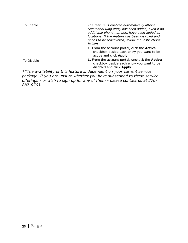| To Enable  | The feature is enabled automatically after a<br>Sequential Ring entry has been added, even if no<br>additional phone numbers have been added as<br>locations. If the feature has been disabled and<br>needs to be reactivated, follow the instructions<br>below: |
|------------|------------------------------------------------------------------------------------------------------------------------------------------------------------------------------------------------------------------------------------------------------------------|
|            | 1. From the account portal, click the <b>Active</b><br>checkbox beside each entry you want to be<br>active and click Apply.                                                                                                                                      |
| To Disable | 1. From the account portal, uncheck the Active<br>checkbox beside each entry you want to be<br>disabled and click Apply.                                                                                                                                         |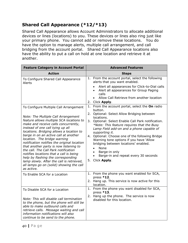# <span id="page-39-0"></span>**Shared Call Appearance (\*12/\*13)**

Shared Call Appearance allows Account Administrators to allocate additional devices or lines (locations) to you. These devices or lines also ring just like your primary phone. You cannot add or remove these locations. You do have the option to manage alerts, multiple call arrangement, and call bridging from the account portal. Shared Call Appearance locations also have the ability to put a call on hold at one location and retrieve it at another.

| <b>Feature Category in Account Portal</b>                                                                                                                                                                                                                                                                                                                                                                                                                                                                                                                                                                                                           | <b>Advanced Features</b>                                                                                                                                                                                                                                                                                                                                                                                                                                                                                                                                     |
|-----------------------------------------------------------------------------------------------------------------------------------------------------------------------------------------------------------------------------------------------------------------------------------------------------------------------------------------------------------------------------------------------------------------------------------------------------------------------------------------------------------------------------------------------------------------------------------------------------------------------------------------------------|--------------------------------------------------------------------------------------------------------------------------------------------------------------------------------------------------------------------------------------------------------------------------------------------------------------------------------------------------------------------------------------------------------------------------------------------------------------------------------------------------------------------------------------------------------------|
| <b>Action</b>                                                                                                                                                                                                                                                                                                                                                                                                                                                                                                                                                                                                                                       | <b>Steps</b>                                                                                                                                                                                                                                                                                                                                                                                                                                                                                                                                                 |
| To Configure Shared Call Appearance<br>Alerts                                                                                                                                                                                                                                                                                                                                                                                                                                                                                                                                                                                                       | 1. From the account portal, select the following<br>alerts that you want enabled.<br>Alert all appearances for Click-to-Dial calls<br>$\bullet$<br>Alert all appearances for Group Paging<br>$\bullet$<br>calls<br>Allow Call Retrieve from another location<br>$\bullet$<br>2. Click Apply.                                                                                                                                                                                                                                                                 |
| To Configure Multiple Call Arrangement<br>Note: The Multiple Call Arrangement<br>feature allows multiple SCA locations to<br>make and receive calls concurrently,<br>instead of one call tying up all<br>locations. Bridging allows a location to<br>barge in on an active call at another<br>location. The bridge warning<br>notification notifies the original location<br>that another party is now listening to<br>the call. The Call Park notification<br>notifies locations that a call is being<br>help by flashing the corresponding<br>lamp slowly. After the call is retrieved,<br>all lamps go on (solid) showing the call<br>as active. | 1. From the account portal, select the On radio<br>button.<br>2. Optional: Select Allow Bridging between<br>locations.<br>3. Optional: Select Enable Call Park notification.<br>*Note: This feature requires that the Busy<br>Lamp Field add-on and a phone capable of<br>supporting it.<br>4. Optional: Choose one of the following Bridge<br>Warning tone options if you have 'Allow<br>bridging between locations' enabled.<br>None<br>$\bullet$<br>Barge-in only<br>$\bullet$<br>Barge-in and repeat every 30 seconds<br>$\bullet$<br>Click Apply.<br>5. |
| To Enable SCA for a Location                                                                                                                                                                                                                                                                                                                                                                                                                                                                                                                                                                                                                        | 1. From the phone you want enabled for SCA,<br>press *12.<br>2. Hang up. This service is now active for this<br>location.                                                                                                                                                                                                                                                                                                                                                                                                                                    |
| To Disable SCA for a Location<br>Note: This will disable call termination<br>to the phone, but the phone will still be<br>able to make outbound calls and<br>retrieve calls. Message waiting and call<br>information notifications will also<br>continue to be send to the phone.                                                                                                                                                                                                                                                                                                                                                                   | 1. From the phone you want disabled for SCA,<br>press $*13$ .<br>2. Hang up the phone. The service is now<br>disabled for this location.                                                                                                                                                                                                                                                                                                                                                                                                                     |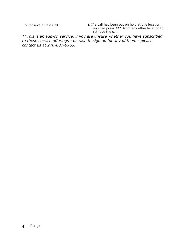| To Retrieve a Held Call | 1. If a call has been put on hold at one location,<br>you can press *11 from any other location to |
|-------------------------|----------------------------------------------------------------------------------------------------|
|                         | retrieve the call.                                                                                 |

*\*\*This is an add-on service, if you are unsure whether you have subscribed to these service offerings - or wish to sign up for any of them - please contact us at 270-887-0763.*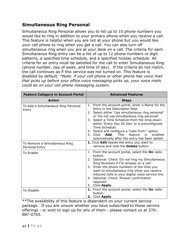## <span id="page-41-0"></span>**Simultaneous Ring Personal**

Simultaneous Ring Personal allows you to list up to 10 phone numbers you would like to ring in addition to your primary phone when you receive a call. This feature is helpful when you are not at your phone but you would like your cell phone to ring when you get a call. You can also turn off simultaneous ring when you are at your desk on a call. The criteria for each Simultaneous Ring entry can be a list of up to 12 phone numbers or digit patterns, a specified time schedule, and a specified holiday schedule. All criteria for an entry must be satisfied for the call to enter Simultaneous Ring (phone number, day of week, and time of day). If the criteria do not match, the call continues as if this service was not turned on. This feature is disabled by default. *\*Note: if your cell phone or other phone has voice mail that picks up before your office voice messaging picks up, your voice mails could be on your cell phone messaging system.*

| <b>Feature Category in Account Portal</b>       | <b>Advanced Features</b>                                                                                                                                                                                                                                                                                                                                                                                                                                                      |
|-------------------------------------------------|-------------------------------------------------------------------------------------------------------------------------------------------------------------------------------------------------------------------------------------------------------------------------------------------------------------------------------------------------------------------------------------------------------------------------------------------------------------------------------|
| <b>Action</b>                                   | <b>Steps</b>                                                                                                                                                                                                                                                                                                                                                                                                                                                                  |
| To Add a Simultaneous Ring Personal<br>Entry    | 1. From the account portal, enter a Name for the<br>entry in the Description field.<br>2. Select either 'Use simultaneous ring personal'<br>or 'Do not use simultaneous ring personal'.<br>3. Select a Time Schedule from the drop down:<br>either 'Every Day All Day' or a preconfigured<br>Time Schedule.<br>4. Select and configure a 'Calls from:' option.<br>This<br>feature<br>5. Click <b>Add</b> .<br>is.<br>enabled<br>automatically after the entry has been added. |
| To Remove a Simultaneous Ring<br>Personal Entry | 1. Click Edit beside the entry you want to<br>remove and click the <b>Delete</b> button.                                                                                                                                                                                                                                                                                                                                                                                      |
| <b>To Enable</b>                                | 1. From the account portal, select the On radio<br>button.<br>Optional: Check 'Do not ring my Simultaneous<br>2.<br>Ring Numbers if I'm already on a call'.<br>3. Enter the phone numbers of the lines you<br>want to simultaneous ring when you receive<br>inbound calls to your digital voice service line.<br>4. Optional: Check 'Answer confirmation<br>required'.<br>5. Click Apply.                                                                                     |
| To Disable                                      | 1. From the account portal, select the On radio<br>button.<br>2. Click Apply.                                                                                                                                                                                                                                                                                                                                                                                                 |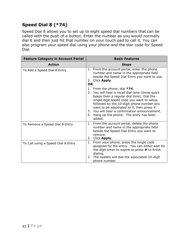# <span id="page-42-0"></span>**Speed Dial 8 (\*74)**

Speed Dial 8 allows you to set up to eight speed dial numbers that can be called with the push of a button. Enter the number as you would normally dial it and then just hit that number on your touch pad to call it. You can also program your speed dial using your phone and the star code for Speed Dial.

| <b>Feature Category in Account Portal</b> | <b>Basic Features</b>                                                                                                                                                                                                                                                                                                                                                               |
|-------------------------------------------|-------------------------------------------------------------------------------------------------------------------------------------------------------------------------------------------------------------------------------------------------------------------------------------------------------------------------------------------------------------------------------------|
| <b>Action</b>                             | <b>Steps</b>                                                                                                                                                                                                                                                                                                                                                                        |
| To Add a Speed Dial 8 Entry               | 1. From the account portal, enter the phone<br>number and name in the appropriate field<br>beside the Speed Dial Entry you want to use.<br>2. Click Apply.<br><b>OR</b>                                                                                                                                                                                                             |
|                                           | 1. From the phone, dial $*74$ .<br>2. You will hear a recall dial tone (three quick<br>beeps then a regular dial tone). Dial the<br>single digit speed code you want to setup,<br>followed by the 10-digit phone number you<br>want to be associated to it, then press $#$ .<br>3. You will hear a confirmation announcement.<br>4. Hang up the phone. The entry has been<br>added. |
| To Remove a Speed Dial 8 Entry            | 1. From the account portal, delete the phone<br>number and name in the appropriate field<br>beside the Speed Dial Entry you want to<br>remove.<br>2. Click Apply.                                                                                                                                                                                                                   |
| To Call using a Speed Dial 8 Entry        | From your phone, press the single code<br>1.<br>assigned for the entry. You can either wait for<br>the digit timer to expire or press # to finish<br>dialing.<br>The system will dial the associated 10-digit<br>2.<br>phone number.                                                                                                                                                |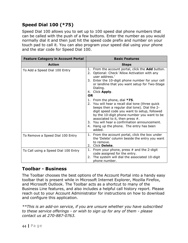# <span id="page-43-0"></span>**Speed Dial 100 (\*75)**

Speed Dial 100 allows you to set up to 100 speed dial phone numbers that can be called with the push of a few buttons. Enter the number as you would normally dial it and then just hit the speed code prefix and number on your touch pad to call it. You can also program your speed dial using your phone and the star code for Speed Dial 100.

| <b>Feature Category in Account Portal</b> | <b>Basic Features</b>                                                                                                                                                                                                                                                                                                                                                           |
|-------------------------------------------|---------------------------------------------------------------------------------------------------------------------------------------------------------------------------------------------------------------------------------------------------------------------------------------------------------------------------------------------------------------------------------|
| <b>Action</b>                             | <b>Steps</b>                                                                                                                                                                                                                                                                                                                                                                    |
| To Add a Speed Dial 100 Entry             | 1. From the account portal, click the <b>Add</b> button.<br>Optional: Check `Allow Activation with any<br>2.<br>user address.'<br>3. Enter the 10-digit phone number for your cell<br>or landline that you want setup for Two-Stage<br>Dialing.<br>4. Click Apply.<br><b>OR</b>                                                                                                 |
|                                           | 1. From the phone, dial $*75$ .<br>2. You will hear a recall dial tone (three quick<br>beeps then a regular dial tone). Dial the 2-<br>digit speed code you want to setup, followed<br>by the 10-digit phone number you want to be<br>associated to it, then press $#$ .<br>3. You will hear a confirmation announcement.<br>4. Hang up the phone. The entry has been<br>added. |
| To Remove a Speed Dial 100 Entry          | 1. From the account portal, click the box under<br>the 'Delete' column beside the entry you want<br>to remove.<br>2.<br>Click Delete.                                                                                                                                                                                                                                           |
| To Call using a Speed Dial 100 Entry      | 1. From your phone, press $#$ and the 2-digit<br>code assigned for the entry.<br>The system will dial the associated 10-digit<br>2.<br>phone number.                                                                                                                                                                                                                            |

### <span id="page-43-1"></span>**Toolbar - Business**

The Toolbar chooses the best options of the Account Portal into a handy easy toolbar that is present while in Microsoft Internet Explorer, Mozilla Firefox, and Microsoft Outlook. The Toolbar acts as a shortcut to many of the Business Line features, and also includes a helpful call history report. Please reach out to your Account Administrator for instructions on how to download and configure this application.

*\*\*This is an add-on service, if you are unsure whether you have subscribed to these service offerings - or wish to sign up for any of them - please contact us at 270-887-0763.*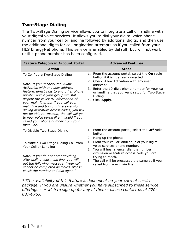## <span id="page-44-0"></span>**Two-Stage Dialing**

The Two-Stage Dialing service allows you to integrate a cell or landline with your digital voice services. It allows you to dial your digital voice phone number from your cell or landline followed by additional digits, and then use the additional digits for call origination attempts as if you called from your HES EnergyNet phone. This service is enabled by default, but will not work until a phone number has been configured.

| <b>Feature Category in Account Portal</b>                                                                                                                                                                                                                                                                                                                                                                                                                                                                      | <b>Advanced Features</b>                                                                                                                                                                                                                                                             |
|----------------------------------------------------------------------------------------------------------------------------------------------------------------------------------------------------------------------------------------------------------------------------------------------------------------------------------------------------------------------------------------------------------------------------------------------------------------------------------------------------------------|--------------------------------------------------------------------------------------------------------------------------------------------------------------------------------------------------------------------------------------------------------------------------------------|
| <b>Action</b>                                                                                                                                                                                                                                                                                                                                                                                                                                                                                                  | <b>Steps</b>                                                                                                                                                                                                                                                                         |
| To Configure Two-Stage Dialing<br>Note: If you uncheck the 'Allow<br>Activation with any user address'<br>feature, direct calls to any other phone<br>number within your group will still<br>display the caller ID information of<br>your main line, but if you call your<br>main line and try to utilize extension<br>dialing or feature access codes, you will<br>not be able to. Instead, the call will go<br>to your voice portal like it would if you<br>called your phone number from your<br>main line. | 1. From the account portal, select the On radio<br>button if it isn't already selected.<br>2. Check 'Allow Activation with any user<br>address.'<br>3. Enter the 10-digit phone number for your cell<br>or landline that you want setup for Two-Stage<br>Dialing.<br>4. Click Apply. |
| To Disable Two-Stage Dialing                                                                                                                                                                                                                                                                                                                                                                                                                                                                                   | 1. From the account portal, select the Off radio<br>button.<br>2. Hang up the phone.                                                                                                                                                                                                 |
| To Make a Two-Stage Dialing Call from<br>Your Cell or Landline<br>Note: If you do not enter anything<br>after dialing your main line, you will<br>get the following message: "Your call<br>cannot be completed as dialed, please<br>check the number and dial again."                                                                                                                                                                                                                                          | From your cell or landline, dial your digital<br>1.<br>voice services phone number.<br>2. You will hear silence; dial the number,<br>extension or feature access code you are<br>trying to reach.<br>3. The call will be processed the same as if you<br>called from your main line. |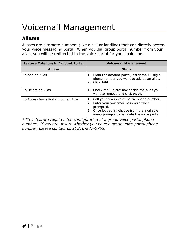# <span id="page-45-0"></span>Voicemail Management

# <span id="page-45-1"></span>**Aliases**

Aliases are alternate numbers (like a cell or landline) that can directly access your voice messaging portal. When you dial group portal number from your alias, you will be redirected to the voice portal for your main line.

| <b>Feature Category in Account Portal</b> | <b>Voicemail Management</b>                                                                                                                                                                                |
|-------------------------------------------|------------------------------------------------------------------------------------------------------------------------------------------------------------------------------------------------------------|
| <b>Action</b>                             | <b>Steps</b>                                                                                                                                                                                               |
| To Add an Alias                           | 1. From the account portal, enter the 10-digit<br>phone number you want to add as an alias.<br>Click Add.<br>2 <sup>1</sup>                                                                                |
| To Delete an Alias                        | 1. Check the 'Delete' box beside the Alias you<br>want to remove and click Apply.                                                                                                                          |
| To Access Voice Portal from an Alias      | Call your group voice portal phone number.<br>1.<br>Enter your voicemail password when<br>2.<br>prompted.<br>Once logged in, choose from the available<br>3.<br>menu prompts to navigate the voice portal. |

*\*\*This feature requires the configuration of a group voice portal phone number. If you are unsure whether you have a group voice portal phone number, please contact us at 270-887-0763.*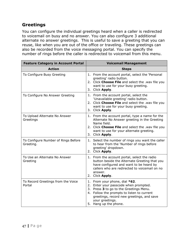# <span id="page-46-0"></span>**Greetings**

You can configure the individual greetings heard when a caller is redirected to voicemail on busy and no answer. You can also configure 3 additional alternate no answer greetings. This is useful to save a greeting that you can reuse, like when you are out of the office or traveling. These greetings can also be recorded from the voice messaging portal. You can specify the number of rings before the caller is redirected to voicemail from this menu.

| <b>Feature Category in Account Portal</b>        | <b>Voicemail Management</b>                                                                                                                                                                                                                              |
|--------------------------------------------------|----------------------------------------------------------------------------------------------------------------------------------------------------------------------------------------------------------------------------------------------------------|
| <b>Action</b>                                    | <b>Steps</b>                                                                                                                                                                                                                                             |
| To Configure Busy Greeting                       | 1. From the account portal, select the 'Personal<br>greeting' radio button.<br>2. Click Choose File and select the .wav file you<br>want to use for your busy greeting.<br>3. Click Apply.                                                               |
| To Configure No Answer Greeting                  | 1. From the account portal, select the<br>'Unavailable greeting' radio button.<br>2. Click Choose File and select the .wav file you<br>want to use for your busy greeting.<br>3. Click Apply.                                                            |
| To Upload Alternate No Answer<br>Greetings       | 1. From the account portal, type a name for the<br>Alternate No Answer greeting in the Greeting<br>Name field.<br>2. Click Choose File and select the .wav file you<br>want to use for your alternate greeting.<br>3. Click Apply.                       |
| To Configure Number of Rings Before<br>Greeting. | 1. Select the number of rings you want the caller<br>to hear from the 'Number of rings before<br>greeting' dropdown.<br>2. Click Apply.                                                                                                                  |
| To Use an Alternate No Answer<br>Greeting        | 1. From the account portal, select the radio<br>button beside the Alternate Greeting that you<br>have configured and want to be heard by<br>callers who are redirected to voicemail on no<br>answer.<br>2. Click Apply.                                  |
| To Record Greetings from the Voice<br>Portal     | 1. From your phone, dial *62.<br>2. Enter your passcode when prompted.<br>3. Press 3 to go to the Greetings Menu.<br>4. Follow the prompts to listen to current<br>greetings, record new greetings, and save<br>your greetings.<br>5. Hang up the phone. |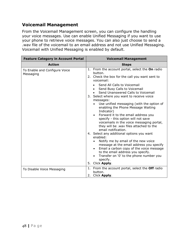## <span id="page-47-0"></span>**Voicemail Management**

From the Voicemail Management screen, you can configure the handling your voice messages. Use can enable Unified Messaging if you want to use your phone to retrieve voice messages. You can also just choose to send a .wav file of the voicemail to an email address and not use Unified Messaging. Voicemail with Unified Messaging is enabled by default.

| <b>Feature Category in Account Portal</b>  | <b>Voicemail Management</b>                                                                                                                                                                                                                                                                                                                                                                                                                                                                                                                                                                                                                                                                                                                                                                                                                                                                                                     |
|--------------------------------------------|---------------------------------------------------------------------------------------------------------------------------------------------------------------------------------------------------------------------------------------------------------------------------------------------------------------------------------------------------------------------------------------------------------------------------------------------------------------------------------------------------------------------------------------------------------------------------------------------------------------------------------------------------------------------------------------------------------------------------------------------------------------------------------------------------------------------------------------------------------------------------------------------------------------------------------|
| <b>Action</b>                              | <b>Steps</b>                                                                                                                                                                                                                                                                                                                                                                                                                                                                                                                                                                                                                                                                                                                                                                                                                                                                                                                    |
| To Enable and Configure Voice<br>Messaging | 1. From the account portal, select the On radio<br>button.<br>2. Check the box for the call you want sent to<br>voicemail:<br>Send All Calls to Voicemail<br>Send Busy Calls to Voicemail<br>$\bullet$<br>Send Unanswered Calls to Voicemail<br>$\bullet$<br>3. Select where you want to receive voice<br>messages:<br>Use unified messaging (with the option of<br>enabling the Phone Message Waiting<br>Indicator)<br>Forward it to the email address you<br>$\bullet$<br>specify - this option will not save<br>voicemails in the voice messaging portal,<br>they will be .wav files attached to the<br>email notification.<br>4. Select any additional options you want<br>enabled:<br>Notify me by email of the new voice<br>message at the email address you specify<br>Email a carbon copy of the voice message<br>$\bullet$<br>to the email address you specify.<br>Transfer on '0' to the phone number you<br>specify. |
|                                            | 5.<br>Click Apply.<br>1. From the account portal, select the Off radio                                                                                                                                                                                                                                                                                                                                                                                                                                                                                                                                                                                                                                                                                                                                                                                                                                                          |
| To Disable Voice Messaging                 | button.<br>2.<br>Click Apply.                                                                                                                                                                                                                                                                                                                                                                                                                                                                                                                                                                                                                                                                                                                                                                                                                                                                                                   |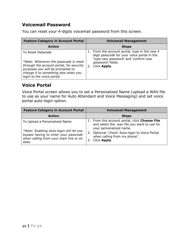## <span id="page-48-0"></span>**Voicemail Password**

You can reset your 4-digits voicemail password from this screen.

| <b>Feature Category in Account Portal</b>                                                                                                                                                                        | <b>Voicemail Management</b>                                                                                                                                                     |
|------------------------------------------------------------------------------------------------------------------------------------------------------------------------------------------------------------------|---------------------------------------------------------------------------------------------------------------------------------------------------------------------------------|
| <b>Action</b>                                                                                                                                                                                                    | <b>Steps</b>                                                                                                                                                                    |
| To Reset Passcode<br>*Note: Whenever the passcode is reset<br>through the account portal, for security<br>purposes you will be prompted to<br>change it to something else when you<br>login to the voice portal. | 1. From the account portal, type in the new 4<br>digit passcode for your voice portal in the<br>'type new password' and 'confirm new<br>password' fields.<br>Click Apply.<br>2. |

## <span id="page-48-1"></span>**Voice Portal**

Voice Portal screen allows you to set a Personalized Name (upload a WAV file to use as your name for Auto Attendant and Voice Messaging) and set voice portal auto-login option.

| <b>Feature Category in Account Portal</b>                                                                                                                            | <b>Voicemail Management</b>                                                                                                                                                                                                   |
|----------------------------------------------------------------------------------------------------------------------------------------------------------------------|-------------------------------------------------------------------------------------------------------------------------------------------------------------------------------------------------------------------------------|
| <b>Action</b>                                                                                                                                                        | <b>Steps</b>                                                                                                                                                                                                                  |
| To Upload a Personalized Name<br>*Note: Enabling Auto-login will let you<br>bypass having to enter your passcode<br>when calling from your main line or an<br>alias. | 1. From the account portal, click Choose File<br>and select the .wav file you want to use for<br>your personalized name.<br>Optional: Check 'Auto-login to Voice Portal<br>2.<br>when calling from my phone'.<br>Click Apply. |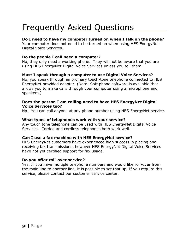# <span id="page-49-0"></span>Frequently Asked Questions

### **Do I need to have my computer turned on when I talk on the phone?**

Your computer does not need to be turned on when using HES EnergyNet Digital Voice Services.

#### **Do the people I call need a computer?**

No, they only need a working phone. They will not be aware that you are using HES EnergyNet Digital Voice Services unless you tell them.

### **Must I speak through a computer to use Digital Voice Services?**

No, you speak through an ordinary touch-tone telephone connected to HES EnergyNet provided adapter. (Note: Soft phone software is available that allows you to make calls through your computer using a microphone and speakers.)

#### **Does the person I am calling need to have HES EnergyNet Digital Voice Services too?**

No. You can call anyone at any phone number using HES EnergyNet service.

#### **What types of telephones work with your service?**

Any touch tone telephone can be used with HES EnergyNet Digital Voice Services. Corded and cordless telephones both work well.

#### **Can I use a fax machine with HES EnergyNet service?**

HES EnergyNet customers have experienced high success in placing and receiving fax transmissions, however HES EnergyNet Digital Voice Services have not yet certified support for fax usage.

#### **Do you offer roll-over service?**

Yes. If you have multiple telephone numbers and would like roll-over from the main line to another line, it is possible to set that up. If you require this service, please contact our customer service center.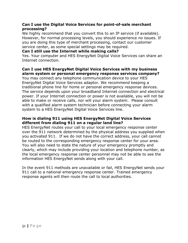#### **Can I use the Digital Voice Services for point-of-sale merchant processing?**

We highly recommend that you convert this to an IP service (if available). However, for normal processing levels, you should experience no issues. If you are doing this type of merchant processing, contact our customer service center, as some special settings may be required.

#### **Can I still use the Internet while making calls?**

Yes. Your computer and HES EnergyNet Digital Voice Services can share an Internet connection.

#### **Can I use HES EnergyNet Digital Voice Services with my business alarm system or personal emergency response services company?**

You may connect any telephone communication device to your HES EnergyNet Digital Voice Services adaptor. We recommend keeping a traditional phone line for home or personal emergency response devices. The service depends upon your broadband Internet connection and electrical power. If your Internet connection or power is not available, you will not be able to make or receive calls, nor will your alarm system. Please consult with a qualified alarm system technician before connecting your alarm system to a HES EnergyNet Digital Voice Services line.

#### **How is dialing 911 using HES EnergyNet Digital Voice Services different from dialing 911 on a regular land line?**

HES EnergyNet routes your call to your local emergency response center over the 911 network determined by the physical address you supplied when you activated 911. If we do not have the correct address, your call cannot be routed to the corresponding emergency response center for your area. You will also need to state the nature of your emergency promptly and clearly, which may include providing your location and telephone number, as the local emergency response center personnel may not be able to see the information HES EnergyNet sends along with your call.

In the event 911 methods are unavailable or fail, HES EnergyNet sends your 911 call to a national emergency response center. Trained emergency response agents will then route the call to local authorities.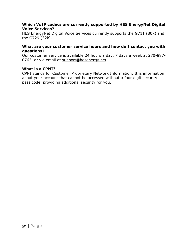#### **Which VoIP codecs are currently supported by HES EnergyNet Digital Voice Services?**

HES EnergyNet Digital Voice Services currently supports the G711 (80k) and the G729 (32k).

#### **What are your customer service hours and how do I contact you with questions?**

Our customer service is available 24 hours a day, 7 days a week at 270-887- 0763, or via email at [support@hesenergy.net.](mailto:support@hesenergy.net)

#### **What is a CPNI?**

CPNI stands for Customer Proprietary Network Information. It is information about your account that cannot be accessed without a four digit security pass code, providing additional security for you.